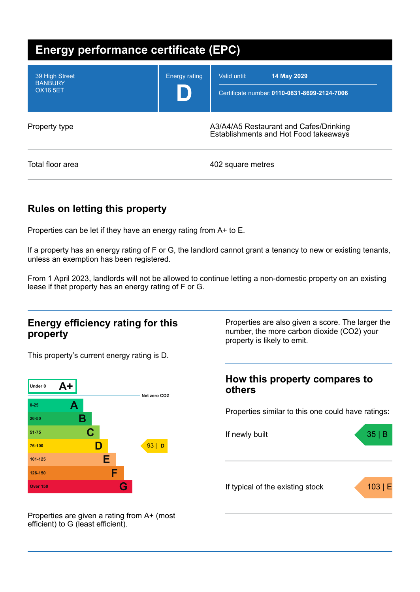| Energy performance certificate (EPC)                |                                                                                 |                                                                             |  |
|-----------------------------------------------------|---------------------------------------------------------------------------------|-----------------------------------------------------------------------------|--|
| 39 High Street<br><b>BANBURY</b><br><b>OX16 5ET</b> | <b>Energy rating</b>                                                            | Valid until:<br>14 May 2029<br>Certificate number: 0110-0831-8699-2124-7006 |  |
| Property type                                       | A3/A4/A5 Restaurant and Cafes/Drinking<br>Establishments and Hot Food takeaways |                                                                             |  |
| Total floor area                                    |                                                                                 | 402 square metres                                                           |  |

## **Rules on letting this property**

Properties can be let if they have an energy rating from A+ to E.

If a property has an energy rating of F or G, the landlord cannot grant a tenancy to new or existing tenants, unless an exemption has been registered.

From 1 April 2023, landlords will not be allowed to continue letting a non-domestic property on an existing lease if that property has an energy rating of F or G.

### **Energy efficiency rating for this property**

This property's current energy rating is D.



Properties are also given a score. The larger the number, the more carbon dioxide (CO2) your property is likely to emit.

## **How this property compares to others**

Properties similar to this one could have ratings:



Properties are given a rating from A+ (most efficient) to G (least efficient).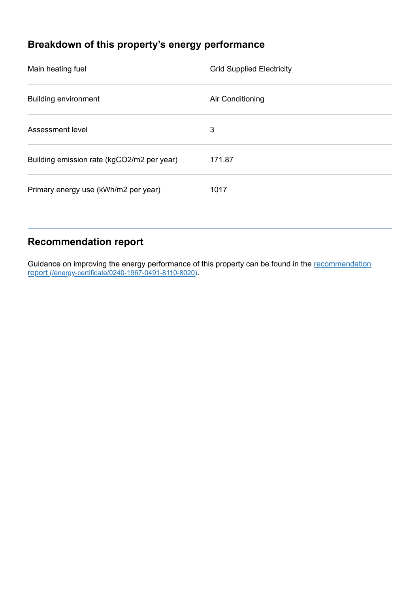# **Breakdown of this property's energy performance**

| Main heating fuel                          | <b>Grid Supplied Electricity</b> |
|--------------------------------------------|----------------------------------|
| <b>Building environment</b>                | Air Conditioning                 |
| Assessment level                           | 3                                |
| Building emission rate (kgCO2/m2 per year) | 171.87                           |
| Primary energy use (kWh/m2 per year)       | 1017                             |
|                                            |                                  |

## **Recommendation report**

Guidance on improving the energy performance of this property can be found in the recommendation report [\(/energy-certificate/0240-1967-0491-8110-8020\)](https://find-energy-certificate.service.gov.uk/energy-certificate/0240-1967-0491-8110-8020).